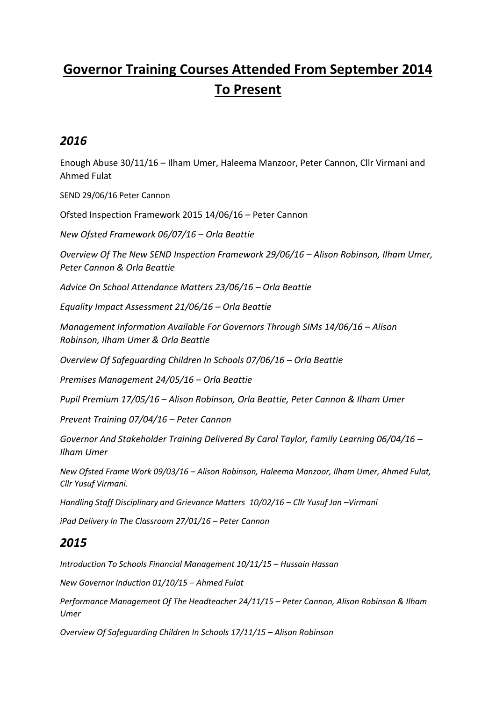## **Governor Training Courses Attended From September 2014 To Present**

## *2016*

Enough Abuse 30/11/16 – Ilham Umer, Haleema Manzoor, Peter Cannon, Cllr Virmani and Ahmed Fulat

SEND 29/06/16 Peter Cannon

Ofsted Inspection Framework 2015 14/06/16 – Peter Cannon

*New Ofsted Framework 06/07/16 – Orla Beattie*

*Overview Of The New SEND Inspection Framework 29/06/16 – Alison Robinson, Ilham Umer, Peter Cannon & Orla Beattie*

*Advice On School Attendance Matters 23/06/16 – Orla Beattie*

*Equality Impact Assessment 21/06/16 – Orla Beattie*

*Management Information Available For Governors Through SIMs 14/06/16 – Alison Robinson, Ilham Umer & Orla Beattie*

*Overview Of Safeguarding Children In Schools 07/06/16 – Orla Beattie*

*Premises Management 24/05/16 – Orla Beattie*

*Pupil Premium 17/05/16 – Alison Robinson, Orla Beattie, Peter Cannon & Ilham Umer*

*Prevent Training 07/04/16 – Peter Cannon*

*Governor And Stakeholder Training Delivered By Carol Taylor, Family Learning 06/04/16 – Ilham Umer*

*New Ofsted Frame Work 09/03/16 – Alison Robinson, Haleema Manzoor, Ilham Umer, Ahmed Fulat, Cllr Yusuf Virmani.*

*Handling Staff Disciplinary and Grievance Matters 10/02/16 – Cllr Yusuf Jan –Virmani*

*iPad Delivery In The Classroom 27/01/16 – Peter Cannon*

## *2015*

*Introduction To Schools Financial Management 10/11/15 – Hussain Hassan*

*New Governor Induction 01/10/15 – Ahmed Fulat*

*Performance Management Of The Headteacher 24/11/15 – Peter Cannon, Alison Robinson & Ilham Umer*

*Overview Of Safeguarding Children In Schools 17/11/15 – Alison Robinson*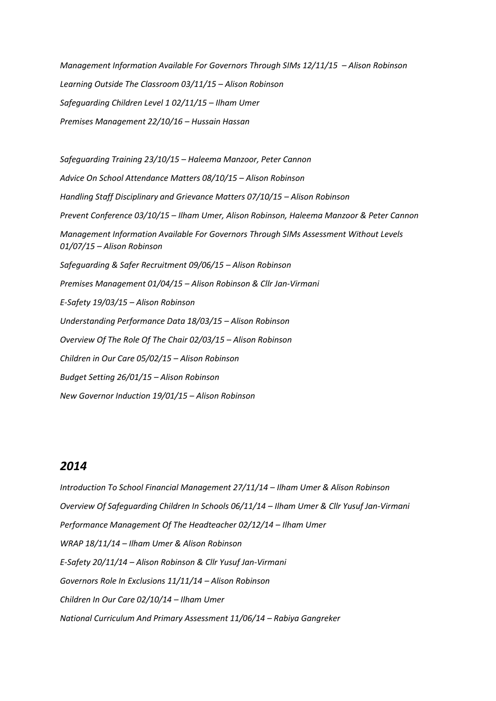*Management Information Available For Governors Through SIMs 12/11/15 - Alison Robinson Learning Outside The Classroom 03/11/15 – Alison Robinson Safeguarding Children Level 1 02/11/15 – Ilham Umer Premises Management 22/10/16 – Hussain Hassan*

*Safeguarding Training 23/10/15 – Haleema Manzoor, Peter Cannon Advice On School Attendance Matters 08/10/15 – Alison Robinson Handling Staff Disciplinary and Grievance Matters 07/10/15 – Alison Robinson Prevent Conference 03/10/15 – Ilham Umer, Alison Robinson, Haleema Manzoor & Peter Cannon Management Information Available For Governors Through SIMs Assessment Without Levels 01/07/15 – Alison Robinson Safeguarding & Safer Recruitment 09/06/15 – Alison Robinson Premises Management 01/04/15 – Alison Robinson & Cllr Jan-Virmani E-Safety 19/03/15 – Alison Robinson Understanding Performance Data 18/03/15 – Alison Robinson Overview Of The Role Of The Chair 02/03/15 – Alison Robinson Children in Our Care 05/02/15 – Alison Robinson Budget Setting 26/01/15 – Alison Robinson New Governor Induction 19/01/15 – Alison Robinson*

## *2014*

*Introduction To School Financial Management 27/11/14 – Ilham Umer & Alison Robinson Overview Of Safeguarding Children In Schools 06/11/14 – Ilham Umer & Cllr Yusuf Jan-Virmani Performance Management Of The Headteacher 02/12/14 – Ilham Umer WRAP 18/11/14 – Ilham Umer & Alison Robinson E-Safety 20/11/14 – Alison Robinson & Cllr Yusuf Jan-Virmani Governors Role In Exclusions 11/11/14 – Alison Robinson Children In Our Care 02/10/14 – Ilham Umer National Curriculum And Primary Assessment 11/06/14 – Rabiya Gangreker*